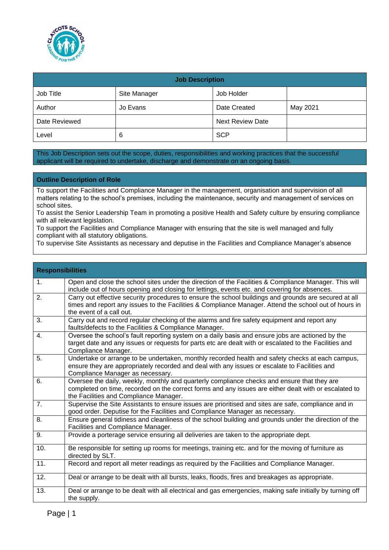

| <b>Job Description</b> |              |                         |          |  |
|------------------------|--------------|-------------------------|----------|--|
| Job Title              | Site Manager | Job Holder              |          |  |
| Author                 | Jo Evans     | Date Created            | May 2021 |  |
| Date Reviewed          |              | <b>Next Review Date</b> |          |  |
| Level                  | 6            | <b>SCP</b>              |          |  |

This Job Description sets out the scope, duties, responsibilities and working practices that the successful applicant will be required to undertake, discharge and demonstrate on an ongoing basis.

## **Outline Description of Role**

To support the Facilities and Compliance Manager in the management, organisation and supervision of all matters relating to the school's premises, including the maintenance, security and management of services on school sites.

To assist the Senior Leadership Team in promoting a positive Health and Safety culture by ensuring compliance with all relevant legislation.

To support the Facilities and Compliance Manager with ensuring that the site is well managed and fully compliant with all statutory obligations.

To supervise Site Assistants as necessary and deputise in the Facilities and Compliance Manager's absence

| <b>Responsibilities</b> |                                                                                                                                                                                                                                                |
|-------------------------|------------------------------------------------------------------------------------------------------------------------------------------------------------------------------------------------------------------------------------------------|
| 1.                      | Open and close the school sites under the direction of the Facilities & Compliance Manager. This will<br>include out of hours opening and closing for lettings, events etc. and covering for absences.                                         |
| 2.                      | Carry out effective security procedures to ensure the school buildings and grounds are secured at all<br>times and report any issues to the Facilities & Compliance Manager. Attend the school out of hours in<br>the event of a call out.     |
| 3.                      | Carry out and record regular checking of the alarms and fire safety equipment and report any<br>faults/defects to the Facilities & Compliance Manager.                                                                                         |
| 4.                      | Oversee the school's fault reporting system on a daily basis and ensure jobs are actioned by the<br>target date and any issues or requests for parts etc are dealt with or escalated to the Facilities and<br>Compliance Manager.              |
| 5.                      | Undertake or arrange to be undertaken, monthly recorded health and safety checks at each campus,<br>ensure they are appropriately recorded and deal with any issues or escalate to Facilities and<br>Compliance Manager as necessary.          |
| 6.                      | Oversee the daily, weekly, monthly and quarterly compliance checks and ensure that they are<br>completed on time, recorded on the correct forms and any issues are either dealt with or escalated to<br>the Facilities and Compliance Manager. |
| 7 <sub>1</sub>          | Supervise the Site Assistants to ensure issues are prioritised and sites are safe, compliance and in<br>good order. Deputise for the Facilities and Compliance Manager as necessary.                                                           |
| 8.                      | Ensure general tidiness and cleanliness of the school building and grounds under the direction of the<br>Facilities and Compliance Manager.                                                                                                    |
| 9.                      | Provide a porterage service ensuring all deliveries are taken to the appropriate dept.                                                                                                                                                         |
| 10.                     | Be responsible for setting up rooms for meetings, training etc. and for the moving of furniture as<br>directed by SLT.                                                                                                                         |
| 11.                     | Record and report all meter readings as required by the Facilities and Compliance Manager.                                                                                                                                                     |
| 12.                     | Deal or arrange to be dealt with all bursts, leaks, floods, fires and breakages as appropriate.                                                                                                                                                |
| 13.                     | Deal or arrange to be dealt with all electrical and gas emergencies, making safe initially by turning off<br>the supply.                                                                                                                       |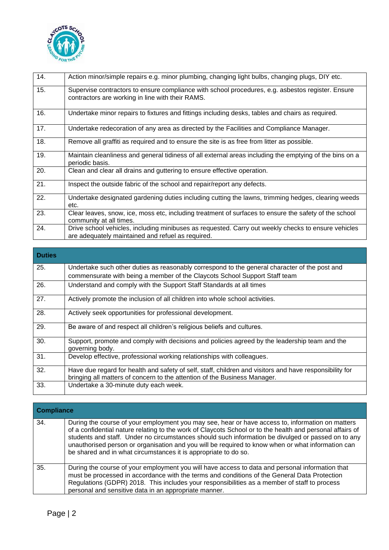

| 14. | Action minor/simple repairs e.g. minor plumbing, changing light bulbs, changing plugs, DIY etc.                                                          |
|-----|----------------------------------------------------------------------------------------------------------------------------------------------------------|
| 15. | Supervise contractors to ensure compliance with school procedures, e.g. asbestos register. Ensure<br>contractors are working in line with their RAMS.    |
| 16. | Undertake minor repairs to fixtures and fittings including desks, tables and chairs as required.                                                         |
| 17. | Undertake redecoration of any area as directed by the Facilities and Compliance Manager.                                                                 |
| 18. | Remove all graffiti as required and to ensure the site is as free from litter as possible.                                                               |
| 19. | Maintain cleanliness and general tidiness of all external areas including the emptying of the bins on a<br>periodic basis.                               |
| 20. | Clean and clear all drains and guttering to ensure effective operation.                                                                                  |
| 21. | Inspect the outside fabric of the school and repair/report any defects.                                                                                  |
| 22. | Undertake designated gardening duties including cutting the lawns, trimming hedges, clearing weeds<br>etc.                                               |
| 23. | Clear leaves, snow, ice, moss etc, including treatment of surfaces to ensure the safety of the school<br>community at all times.                         |
| 24. | Drive school vehicles, including minibuses as requested. Carry out weekly checks to ensure vehicles<br>are adequately maintained and refuel as required. |

| <b>Duties</b> |                                                                                                                                                                                      |
|---------------|--------------------------------------------------------------------------------------------------------------------------------------------------------------------------------------|
| 25.           | Undertake such other duties as reasonably correspond to the general character of the post and                                                                                        |
|               | commensurate with being a member of the Claycots School Support Staff team                                                                                                           |
| 26.           | Understand and comply with the Support Staff Standards at all times                                                                                                                  |
| 27.           | Actively promote the inclusion of all children into whole school activities.                                                                                                         |
| 28.           | Actively seek opportunities for professional development.                                                                                                                            |
| 29.           | Be aware of and respect all children's religious beliefs and cultures.                                                                                                               |
| 30.           | Support, promote and comply with decisions and policies agreed by the leadership team and the<br>governing body.                                                                     |
| 31.           | Develop effective, professional working relationships with colleagues.                                                                                                               |
| 32.           | Have due regard for health and safety of self, staff, children and visitors and have responsibility for<br>bringing all matters of concern to the attention of the Business Manager. |
| 33.           | Undertake a 30-minute duty each week.                                                                                                                                                |

| <b>Compliance</b> |                                                                                                                                                                                                                                                                                                                                                                                                                                                                                             |  |
|-------------------|---------------------------------------------------------------------------------------------------------------------------------------------------------------------------------------------------------------------------------------------------------------------------------------------------------------------------------------------------------------------------------------------------------------------------------------------------------------------------------------------|--|
| 34.               | During the course of your employment you may see, hear or have access to, information on matters<br>of a confidential nature relating to the work of Claycots School or to the health and personal affairs of<br>students and staff. Under no circumstances should such information be divulged or passed on to any<br>unauthorised person or organisation and you will be required to know when or what information can<br>be shared and in what circumstances it is appropriate to do so. |  |
| 35.               | During the course of your employment you will have access to data and personal information that<br>must be processed in accordance with the terms and conditions of the General Data Protection<br>Regulations (GDPR) 2018. This includes your responsibilities as a member of staff to process<br>personal and sensitive data in an appropriate manner.                                                                                                                                    |  |